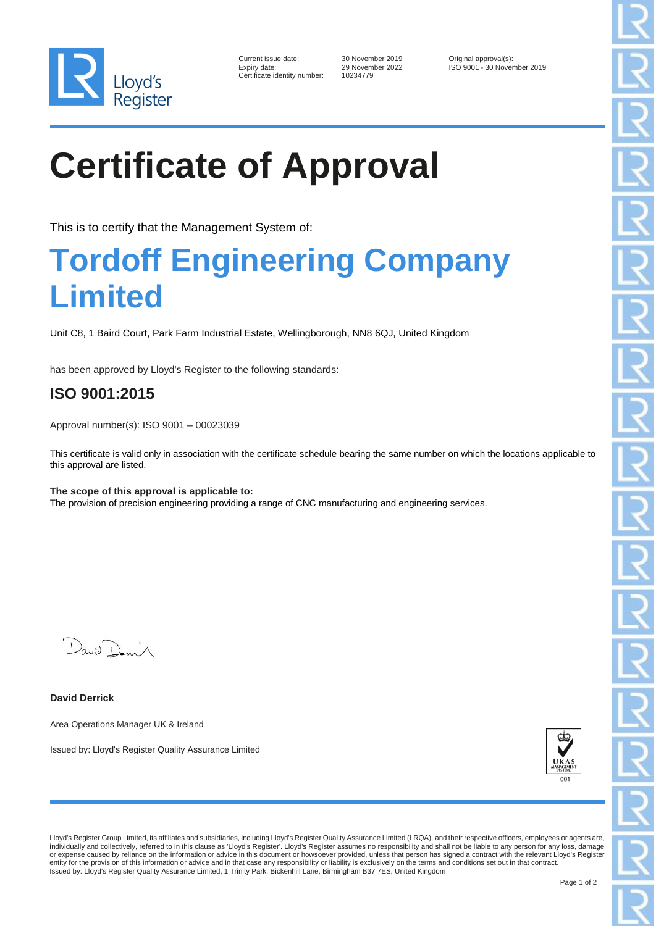

| Current issue date:        |
|----------------------------|
| Expiry date:               |
| Certificate identity numbe |

30 November 2019 Criginal approval(s):<br>29 November 2022 ISO 9001 - 30 November er: 10234779

ISO 9001 - 30 November 2019

# **Certificate of Approval**

This is to certify that the Management System of:

### **Tordoff Engineering Company Limited**

Unit C8, 1 Baird Court, Park Farm Industrial Estate, Wellingborough, NN8 6QJ, United Kingdom

has been approved by Lloyd's Register to the following standards:

### **ISO 9001:2015**

Approval number(s): ISO 9001 – 00023039

This certificate is valid only in association with the certificate schedule bearing the same number on which the locations applicable to this approval are listed.

#### **The scope of this approval is applicable to:** The provision of precision engineering providing a range of CNC manufacturing and engineering services.

 $D_{\alpha\alpha;\beta}$ 

**David Derrick**

Area Operations Manager UK & Ireland

Issued by: Lloyd's Register Quality Assurance Limited



Lloyd's Register Group Limited, its affiliates and subsidiaries, including Lloyd's Register Quality Assurance Limited (LRQA), and their respective officers, employees or agents are, individually and collectively, referred